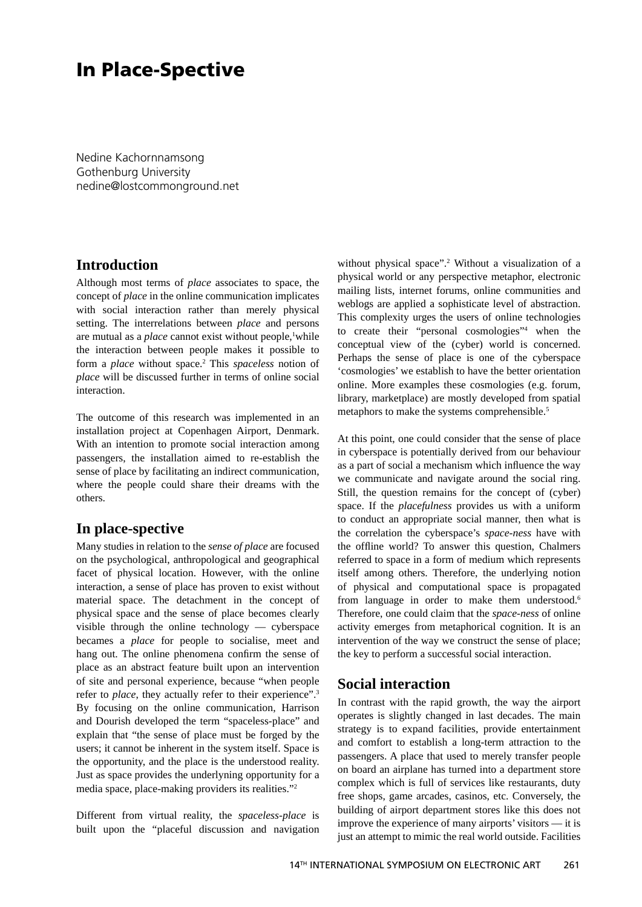# **In Place-Spective**

Nedine Kachornnamsong Gothenburg University nedine@lostcommonground.net

## **Introduction**

Although most terms of *place* associates to space, the concept of *place* in the online communication implicates with social interaction rather than merely physical setting. The interrelations between *place* and persons are mutual as a *place* cannot exist without people,<sup>1</sup>while the interaction between people makes it possible to form a *place* without space.2 This *spaceless* notion of *place* will be discussed further in terms of online social interaction.

The outcome of this research was implemented in an installation project at Copenhagen Airport, Denmark. With an intention to promote social interaction among passengers, the installation aimed to re-establish the sense of place by facilitating an indirect communication, where the people could share their dreams with the others.

## **In place-spective**

Many studies in relation to the *sense of place* are focused on the psychological, anthropological and geographical facet of physical location. However, with the online interaction, a sense of place has proven to exist without material space. The detachment in the concept of physical space and the sense of place becomes clearly visible through the online technology — cyberspace becames a *place* for people to socialise, meet and hang out. The online phenomena confirm the sense of place as an abstract feature built upon an intervention of site and personal experience, because "when people refer to *place*, they actually refer to their experience".3 By focusing on the online communication, Harrison and Dourish developed the term "spaceless-place" and explain that "the sense of place must be forged by the users; it cannot be inherent in the system itself. Space is the opportunity, and the place is the understood reality. Just as space provides the underlyning opportunity for a media space, place-making providers its realities."2

Different from virtual reality, the *spaceless-place* is built upon the "placeful discussion and navigation

without physical space".<sup>2</sup> Without a visualization of a physical world or any perspective metaphor, electronic mailing lists, internet forums, online communities and weblogs are applied a sophisticate level of abstraction. This complexity urges the users of online technologies to create their "personal cosmologies"4 when the conceptual view of the (cyber) world is concerned. Perhaps the sense of place is one of the cyberspace 'cosmologies' we establish to have the better orientation online. More examples these cosmologies (e.g. forum, library, marketplace) are mostly developed from spatial metaphors to make the systems comprehensible.<sup>5</sup>

At this point, one could consider that the sense of place in cyberspace is potentially derived from our behaviour as a part of social a mechanism which influence the way we communicate and navigate around the social ring. Still, the question remains for the concept of (cyber) space. If the *placefulness* provides us with a uniform to conduct an appropriate social manner, then what is the correlation the cyberspace's *space-ness* have with the offline world? To answer this question, Chalmers referred to space in a form of medium which represents itself among others. Therefore, the underlying notion of physical and computational space is propagated from language in order to make them understood.<sup>6</sup> Therefore, one could claim that the *space-ness* of online activity emerges from metaphorical cognition. It is an intervention of the way we construct the sense of place; the key to perform a successful social interaction.

#### **Social interaction**

In contrast with the rapid growth, the way the airport operates is slightly changed in last decades. The main strategy is to expand facilities, provide entertainment and comfort to establish a long-term attraction to the passengers. A place that used to merely transfer people on board an airplane has turned into a department store complex which is full of services like restaurants, duty free shops, game arcades, casinos, etc. Conversely, the building of airport department stores like this does not improve the experience of many airports' visitors — it is just an attempt to mimic the real world outside. Facilities